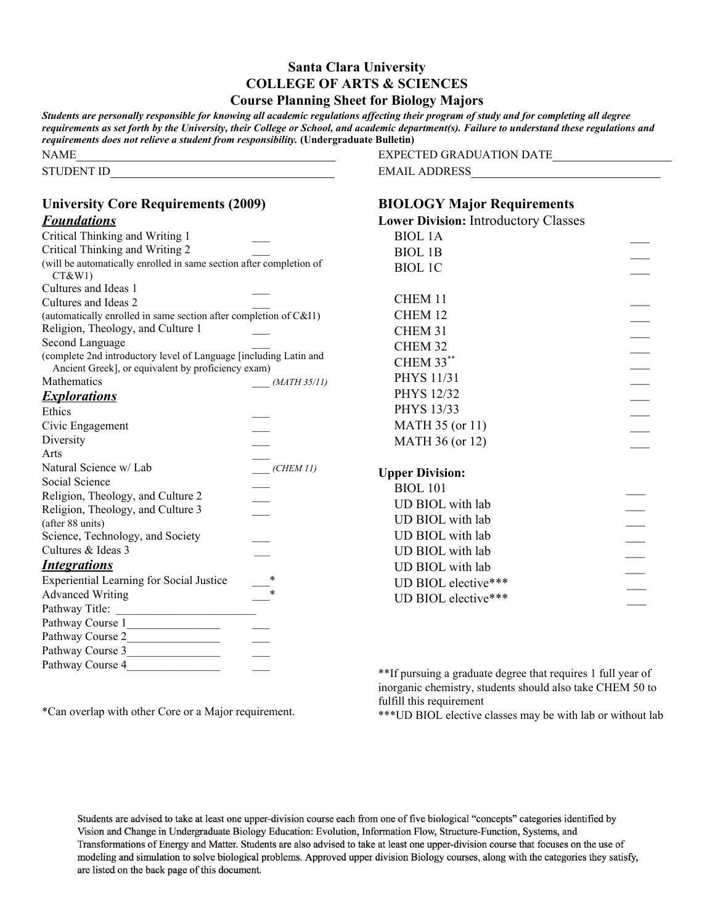## **Santa Clara University COLLEGE OF ARTS & SCIENCES Course Planning Sheet for Biology Majors**

| requirements does not relieve a student from responsibility. (Undergraduate Bulletin) | Students are personally responsible for knowing all academic regulations affecting their program of study and for completing all degree<br>requirements as set forth by the University, their College or School, and academic department(s). Failure to understand these regulations and |
|---------------------------------------------------------------------------------------|------------------------------------------------------------------------------------------------------------------------------------------------------------------------------------------------------------------------------------------------------------------------------------------|
| NAME                                                                                  | EXPECTED GRADUATION DATE                                                                                                                                                                                                                                                                 |
| STUDENT ID                                                                            | EMAIL ADDRESS                                                                                                                                                                                                                                                                            |
|                                                                                       |                                                                                                                                                                                                                                                                                          |

## **University Core Requirements (2009)** *Foundations* Critical Thinking and Writing 1 \_\_\_ Critical Thinking and Writing 2 \_\_\_ (will be automatically enrolled in same section after completion of CT&W1) Cultures and Ideas 1 \_\_\_ Cultures and Ideas 2 \_\_\_ (automatically enrolled in same section after completion of C&I1) Religion, Theology, and Culture 1 \_\_\_ Second Language (complete 2nd introductory level of Language [including Latin and Ancient Greek], or equivalent by proficiency exam) Mathematics \_\_\_ *(MATH 35/11) Explorations* Ethics \_\_\_ Civic Engagement \_\_\_ Diversity \_\_\_ Arts \_\_\_ Natural Science w/ Lab \_\_\_ *(CHEM 11)* Social Science Religion, Theology, and Culture 2 \_\_\_ Religion, Theology, and Culture 3 \_\_\_ (after 88 units) Science, Technology, and Society Cultures & Ideas 3 \_\_\_ *Integrations* Experiential Learning for Social Justice \_\_\_\* Advanced Writing \_\_\_\* Pathway Title: Pathway Course 1 Pathway Course 2 Pathway Course 3\_\_\_\_\_\_\_\_\_\_\_\_\_\_\_\_ \_\_\_ **BIOLOGY Major Requirements Lower Division:** Introductory Classes BIOL 1A \_\_\_ BIOL 1B \_\_\_ BIOL 1C \_\_\_ CHEM 11 CHEM 12 CHEM 31 CHEM 32 CHEM 33  $**$ PHYS 11/31 PHYS 12/32 PHYS 13/33 \_\_\_ MATH 35 (or 11) MATH 36 (or 12) **Upper Division:** BIOL 101 \_\_\_ UD BIOL with lab UD BIOL with lab UD BIOL with lab UD BIOL with lab UD BIOL with lab UD BIOL elective\*\*\* UD BIOL elective\*\*\*

\*\*If pursuing a graduate degree that requires 1 full year of inorganic chemistry, students should also take CHEM 50 to fulfill this requirement

\*\*\*UD BIOL elective classes may be with lab or without lab

Students are advised to take at least one upper-division course each from one of five biological "concepts" categories identified by Vision and Change in Undergraduate Biology Education: Evolution, Information Flow, Structure-Function, Systems, and Transformations of Energy and Matter. Students are also advised to take at least one upper-division course that focuses on the use of modeling and simulation to solve biological problems. Approved upper division Biology courses, along with the categories they satisfy, are listed on the back page of this document.

\*Can overlap with other Core or a Major requirement.

Pathway Course 4